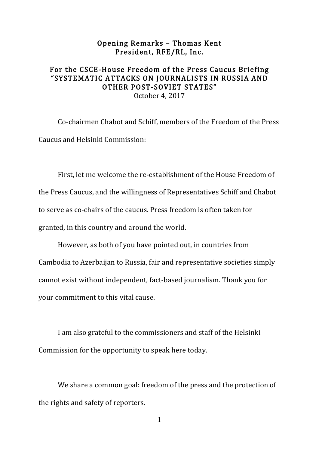## Opening Remarks - Thomas Kent President, RFE/RL, Inc.

## For the CSCE-House Freedom of the Press Caucus Briefing "SYSTEMATIC ATTACKS ON JOURNALISTS IN RUSSIA AND OTHER POST-SOVIET STATES"

October 4, 2017

Co-chairmen Chabot and Schiff, members of the Freedom of the Press Caucus and Helsinki Commission:

First, let me welcome the re-establishment of the House Freedom of the Press Caucus, and the willingness of Representatives Schiff and Chabot to serve as co-chairs of the caucus. Press freedom is often taken for granted, in this country and around the world.

However, as both of you have pointed out, in countries from Cambodia to Azerbaijan to Russia, fair and representative societies simply cannot exist without independent, fact-based journalism. Thank you for your commitment to this vital cause.

I am also grateful to the commissioners and staff of the Helsinki Commission for the opportunity to speak here today.

We share a common goal: freedom of the press and the protection of the rights and safety of reporters.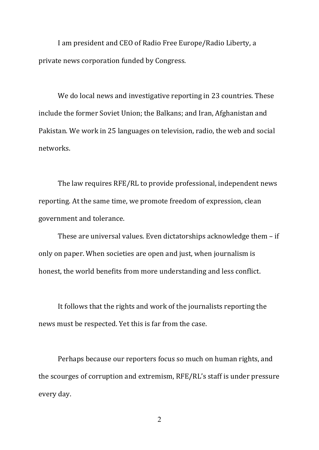I am president and CEO of Radio Free Europe/Radio Liberty, a private news corporation funded by Congress.

We do local news and investigative reporting in 23 countries. These include the former Soviet Union; the Balkans; and Iran, Afghanistan and Pakistan. We work in 25 languages on television, radio, the web and social networks.

The law requires RFE/RL to provide professional, independent news reporting. At the same time, we promote freedom of expression, clean government and tolerance.

These are universal values. Even dictatorships acknowledge them  $-$  if only on paper. When societies are open and just, when journalism is honest, the world benefits from more understanding and less conflict.

It follows that the rights and work of the journalists reporting the news must be respected. Yet this is far from the case.

Perhaps because our reporters focus so much on human rights, and the scourges of corruption and extremism, RFE/RL's staff is under pressure every day.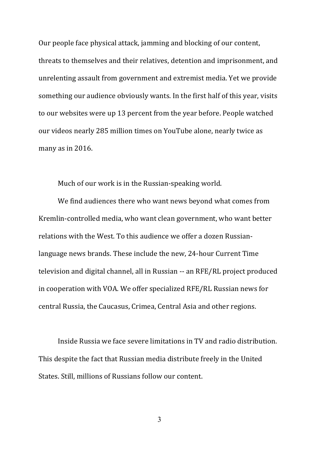Our people face physical attack, jamming and blocking of our content, threats to themselves and their relatives, detention and imprisonment, and unrelenting assault from government and extremist media. Yet we provide something our audience obviously wants. In the first half of this year, visits to our websites were up 13 percent from the year before. People watched our videos nearly 285 million times on YouTube alone, nearly twice as many as in 2016.

Much of our work is in the Russian-speaking world.

We find audiences there who want news beyond what comes from Kremlin-controlled media, who want clean government, who want better relations with the West. To this audience we offer a dozen Russianlanguage news brands. These include the new, 24-hour Current Time television and digital channel, all in Russian -- an RFE/RL project produced in cooperation with VOA. We offer specialized RFE/RL Russian news for central Russia, the Caucasus, Crimea, Central Asia and other regions.

Inside Russia we face severe limitations in TV and radio distribution. This despite the fact that Russian media distribute freely in the United States. Still, millions of Russians follow our content.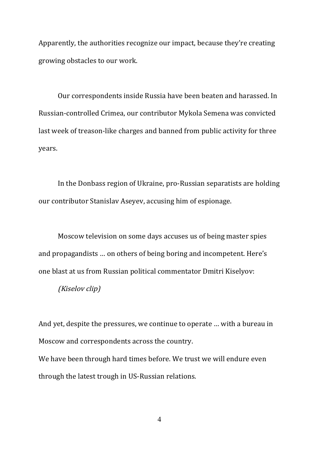Apparently, the authorities recognize our impact, because they're creating growing obstacles to our work.

Our correspondents inside Russia have been beaten and harassed. In Russian-controlled Crimea, our contributor Mykola Semena was convicted last week of treason-like charges and banned from public activity for three years. 

In the Donbass region of Ukraine, pro-Russian separatists are holding our contributor Stanislav Aseyev, accusing him of espionage.

Moscow television on some days accuses us of being master spies and propagandists ... on others of being boring and incompetent. Here's one blast at us from Russian political commentator Dmitri Kiselyov:

(Kiselov clip)

And yet, despite the pressures, we continue to operate ... with a bureau in Moscow and correspondents across the country.

We have been through hard times before. We trust we will endure even through the latest trough in US-Russian relations.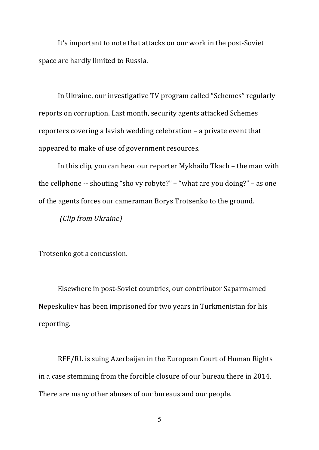It's important to note that attacks on our work in the post-Soviet space are hardly limited to Russia.

In Ukraine, our investigative TV program called "Schemes" regularly reports on corruption. Last month, security agents attacked Schemes reporters covering a lavish wedding celebration  $-$  a private event that appeared to make of use of government resources.

In this clip, you can hear our reporter Mykhailo Tkach – the man with the cellphone  $-$ - shouting "sho vy robyte?"  $-$  "what are you doing?"  $-$  as one of the agents forces our cameraman Borys Trotsenko to the ground.

(Clip from Ukraine)

Trotsenko got a concussion.

Elsewhere in post-Soviet countries, our contributor Saparmamed Nepeskuliev has been imprisoned for two years in Turkmenistan for his reporting.

RFE/RL is suing Azerbaijan in the European Court of Human Rights in a case stemming from the forcible closure of our bureau there in 2014. There are many other abuses of our bureaus and our people.